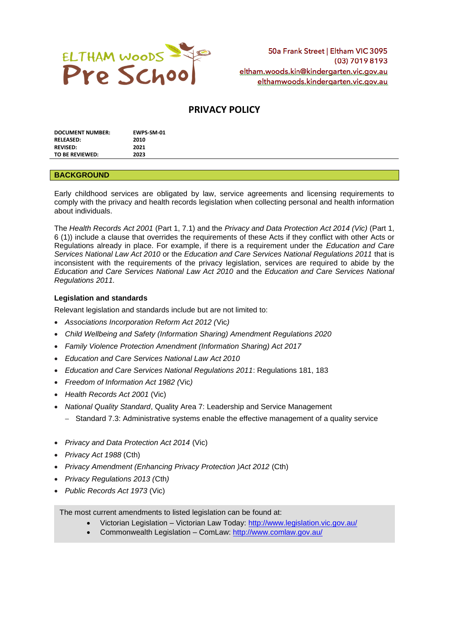

# **PRIVACY POLICY**

| <b>DOCUMENT NUMBER:</b> | EWPS-SM-01 |
|-------------------------|------------|
| <b>RELEASED:</b>        | 2010       |
| <b>REVISED:</b>         | 2021       |
| TO BE REVIEWED:         | 2023       |

### **BACKGROUND**

Early childhood services are obligated by law, service agreements and licensing requirements to comply with the privacy and health records legislation when collecting personal and health information about individuals.

The *Health Records Act 2001* (Part 1, 7.1) and the *Privacy and Data Protection Act 2014 (Vic)* (Part 1, 6 (1)) include a clause that overrides the requirements of these Acts if they conflict with other Acts or Regulations already in place. For example, if there is a requirement under the *Education and Care Services National Law Act 2010* or the *Education and Care Services National Regulations 2011* that is inconsistent with the requirements of the privacy legislation, services are required to abide by the *Education and Care Services National Law Act 2010* and the *Education and Care Services National Regulations 2011.*

### **Legislation and standards**

Relevant legislation and standards include but are not limited to:

- *Associations Incorporation Reform Act 2012 (*Vic*)*
- *Child Wellbeing and Safety (Information Sharing) Amendment Regulations 2020*
- *Family Violence Protection Amendment (Information Sharing) Act 2017*
- *Education and Care Services National Law Act 2010*
- *Education and Care Services National Regulations 2011*: Regulations 181, 183
- *Freedom of Information Act 1982 (*Vic*)*
- *Health Records Act 2001* (Vic)
- *National Quality Standard*, Quality Area 7: Leadership and Service Management
	- − Standard 7.3: Administrative systems enable the effective management of a quality service
- *Privacy and Data Protection Act 2014* (Vic)
- *Privacy Act 1988* (Cth)
- *Privacy Amendment (Enhancing Privacy Protection )Act 2012* (Cth)
- *Privacy Regulations 2013 (*Cth*)*
- *Public Records Act 1973* (Vic)

The most current amendments to listed legislation can be found at:

- Victorian Legislation Victorian Law Today:<http://www.legislation.vic.gov.au/>
- Commonwealth Legislation ComLaw:<http://www.comlaw.gov.au/>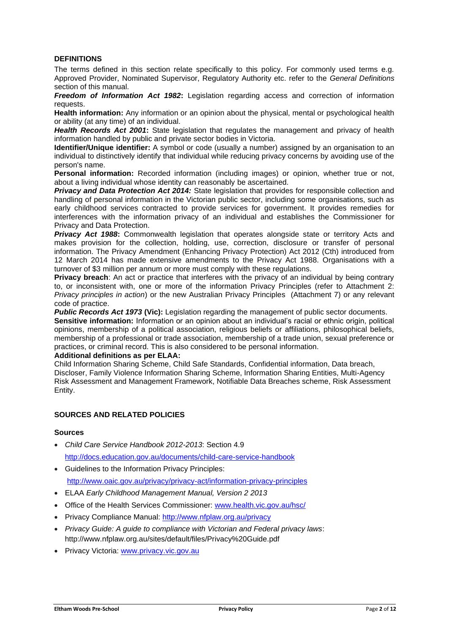## **DEFINITIONS**

The terms defined in this section relate specifically to this policy. For commonly used terms e.g. Approved Provider, Nominated Supervisor, Regulatory Authority etc. refer to the *General Definitions* section of this manual.

*Freedom of Information Act 1982***:** Legislation regarding access and correction of information requests.

**Health information:** Any information or an opinion about the physical, mental or psychological health or ability (at any time) of an individual.

*Health Records Act 2001***:** State legislation that regulates the management and privacy of health information handled by public and private sector bodies in Victoria.

**Identifier/Unique identifier:** A symbol or code (usually a number) assigned by an organisation to an individual to distinctively identify that individual while reducing privacy concerns by avoiding use of the person's name.

**Personal information:** Recorded information (including images) or opinion, whether true or not, about a living individual whose identity can reasonably be ascertained.

*Privacy and Data Protection Act 2014:* State legislation that provides for responsible collection and handling of personal information in the Victorian public sector, including some organisations, such as early childhood services contracted to provide services for government. It provides remedies for interferences with the information privacy of an individual and establishes the Commissioner for Privacy and Data Protection.

**Privacy Act 1988:** Commonwealth legislation that operates alongside state or territory Acts and makes provision for the collection, holding, use, correction, disclosure or transfer of personal information. The Privacy Amendment (Enhancing Privacy Protection) Act 2012 (Cth) introduced from 12 March 2014 has made extensive amendments to the Privacy Act 1988. Organisations with a turnover of \$3 million per annum or more must comply with these regulations.

**Privacy breach**: An act or practice that interferes with the privacy of an individual by being contrary to, or inconsistent with, one or more of the information Privacy Principles (refer to Attachment 2: *Privacy principles in action*) or the new Australian Privacy Principles (Attachment 7) or any relevant code of practice.

*Public Records Act 1973* **(Vic):** Legislation regarding the management of public sector documents.

**Sensitive information:** Information or an opinion about an individual's racial or ethnic origin, political opinions, membership of a political association, religious beliefs or affiliations, philosophical beliefs, membership of a professional or trade association, membership of a trade union, sexual preference or practices, or criminal record. This is also considered to be personal information.

#### **Additional definitions as per ELAA:**

Child Information Sharing Scheme, Child Safe Standards, Confidential information, Data breach, Discloser, Family Violence Information Sharing Scheme, Information Sharing Entities, Multi-Agency Risk Assessment and Management Framework, Notifiable Data Breaches scheme, Risk Assessment Entity.

## **SOURCES AND RELATED POLICIES**

## **Sources**

- *Child Care Service Handbook 2012-2013*: Section 4.9 <http://docs.education.gov.au/documents/child-care-service-handbook>
- Guidelines to the Information Privacy Principles:

<http://www.oaic.gov.au/privacy/privacy-act/information-privacy-principles>

- ELAA *Early Childhood Management Manual, Version 2 2013*
- Office of the Health Services Commissioner: [www.health.vic.gov.au/hsc/](http://www.health.vic.gov.au/hsc/)
- Privacy Compliance Manual:<http://www.nfplaw.org.au/privacy>
- *Privacy Guide: A guide to compliance with Victorian and Federal privacy laws*: http://www.nfplaw.org.au/sites/default/files/Privacy%20Guide.pdf
- Privacy Victoria: [www.privacy.vic.gov.au](http://www.privacy.vic.gov.au/)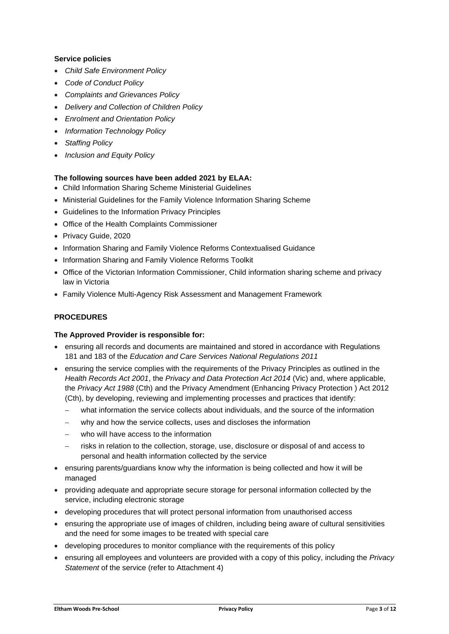## **Service policies**

- *Child Safe Environment Policy*
- *Code of Conduct Policy*
- *Complaints and Grievances Policy*
- *Delivery and Collection of Children Policy*
- *Enrolment and Orientation Policy*
- *Information Technology Policy*
- *Staffing Policy*
- *Inclusion and Equity Policy*

## **The following sources have been added 2021 by ELAA:**

- Child Information Sharing Scheme Ministerial Guidelines
- Ministerial Guidelines for the Family Violence Information Sharing Scheme
- Guidelines to the Information Privacy Principles
- Office of the Health Complaints Commissioner
- Privacy Guide, 2020
- Information Sharing and Family Violence Reforms Contextualised Guidance
- Information Sharing and Family Violence Reforms Toolkit
- Office of the Victorian Information Commissioner, Child information sharing scheme and privacy law in Victoria
- Family Violence Multi-Agency Risk Assessment and Management Framework

## **PROCEDURES**

## **The Approved Provider is responsible for:**

- ensuring all records and documents are maintained and stored in accordance with Regulations 181 and 183 of the *Education and Care Services National Regulations 2011*
- ensuring the service complies with the requirements of the Privacy Principles as outlined in the *Health Records Act 2001*, the *Privacy and Data Protection Act 2014* (Vic) and, where applicable, the *Privacy Act 1988* (Cth) and the Privacy Amendment (Enhancing Privacy Protection ) Act 2012 (Cth), by developing, reviewing and implementing processes and practices that identify:
	- − what information the service collects about individuals, and the source of the information
	- why and how the service collects, uses and discloses the information
	- − who will have access to the information
	- risks in relation to the collection, storage, use, disclosure or disposal of and access to personal and health information collected by the service
- ensuring parents/guardians know why the information is being collected and how it will be managed
- providing adequate and appropriate secure storage for personal information collected by the service, including electronic storage
- developing procedures that will protect personal information from unauthorised access
- ensuring the appropriate use of images of children, including being aware of cultural sensitivities and the need for some images to be treated with special care
- developing procedures to monitor compliance with the requirements of this policy
- ensuring all employees and volunteers are provided with a copy of this policy, including the *Privacy Statement* of the service (refer to Attachment 4)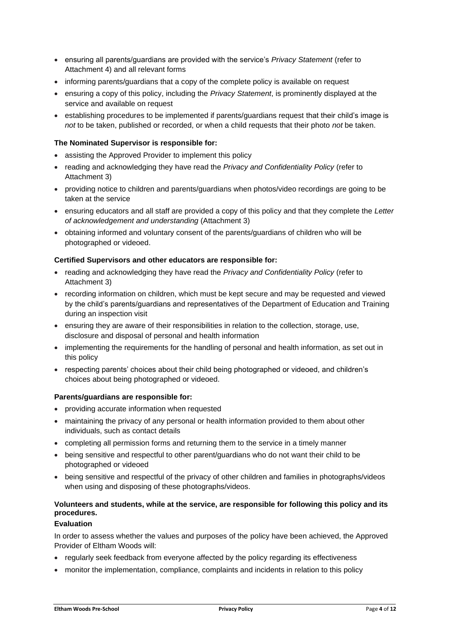- ensuring all parents/guardians are provided with the service's *Privacy Statement* (refer to Attachment 4) and all relevant forms
- informing parents/guardians that a copy of the complete policy is available on request
- ensuring a copy of this policy, including the *Privacy Statement*, is prominently displayed at the service and available on request
- establishing procedures to be implemented if parents/guardians request that their child's image is *not* to be taken, published or recorded, or when a child requests that their photo *not* be taken.

### **The Nominated Supervisor is responsible for:**

- assisting the Approved Provider to implement this policy
- reading and acknowledging they have read the *Privacy and Confidentiality Policy* (refer to Attachment 3)
- providing notice to children and parents/guardians when photos/video recordings are going to be taken at the service
- ensuring educators and all staff are provided a copy of this policy and that they complete the *Letter of acknowledgement and understanding* (Attachment 3)
- obtaining informed and voluntary consent of the parents/guardians of children who will be photographed or videoed.

### **Certified Supervisors and other educators are responsible for:**

- reading and acknowledging they have read the *Privacy and Confidentiality Policy* (refer to Attachment 3)
- recording information on children, which must be kept secure and may be requested and viewed by the child's parents/guardians and representatives of the Department of Education and Training during an inspection visit
- ensuring they are aware of their responsibilities in relation to the collection, storage, use, disclosure and disposal of personal and health information
- implementing the requirements for the handling of personal and health information, as set out in this policy
- respecting parents' choices about their child being photographed or videoed, and children's choices about being photographed or videoed.

#### **Parents/guardians are responsible for:**

- providing accurate information when requested
- maintaining the privacy of any personal or health information provided to them about other individuals, such as contact details
- completing all permission forms and returning them to the service in a timely manner
- being sensitive and respectful to other parent/guardians who do not want their child to be photographed or videoed
- being sensitive and respectful of the privacy of other children and families in photographs/videos when using and disposing of these photographs/videos.

## **Volunteers and students, while at the service, are responsible for following this policy and its procedures.**

## **Evaluation**

In order to assess whether the values and purposes of the policy have been achieved, the Approved Provider of Eltham Woods will:

- regularly seek feedback from everyone affected by the policy regarding its effectiveness
- monitor the implementation, compliance, complaints and incidents in relation to this policy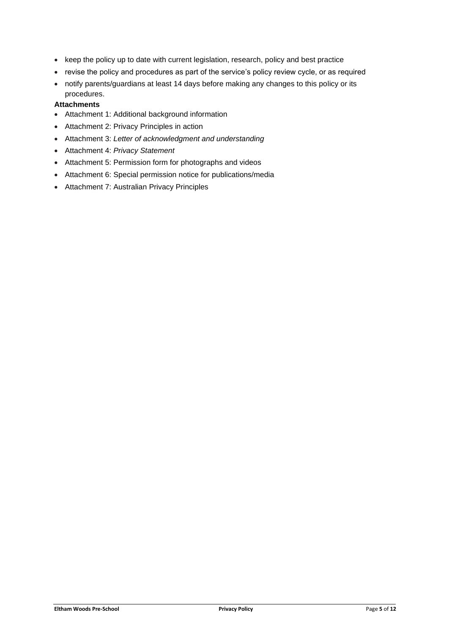- keep the policy up to date with current legislation, research, policy and best practice
- revise the policy and procedures as part of the service's policy review cycle, or as required
- notify parents/guardians at least 14 days before making any changes to this policy or its procedures.

## **Attachments**

- Attachment 1: Additional background information
- Attachment 2: Privacy Principles in action
- Attachment 3: *Letter of acknowledgment and understanding*
- Attachment 4: *Privacy Statement*
- Attachment 5: Permission form for photographs and videos
- Attachment 6: Special permission notice for publications/media
- Attachment 7: Australian Privacy Principles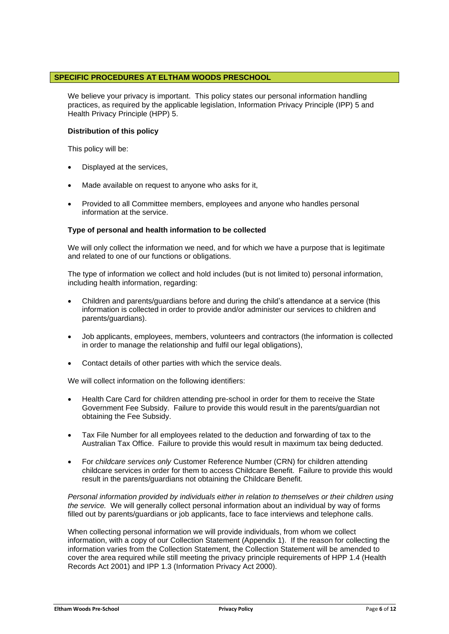## **SPECIFIC PROCEDURES AT ELTHAM WOODS PRESCHOOL**

We believe your privacy is important. This policy states our personal information handling practices, as required by the applicable legislation, Information Privacy Principle (IPP) 5 and Health Privacy Principle (HPP) 5.

#### **Distribution of this policy**

This policy will be:

- Displayed at the services,
- Made available on request to anyone who asks for it,
- Provided to all Committee members, employees and anyone who handles personal information at the service.

### **Type of personal and health information to be collected**

We will only collect the information we need, and for which we have a purpose that is legitimate and related to one of our functions or obligations.

The type of information we collect and hold includes (but is not limited to) personal information, including health information, regarding:

- Children and parents/guardians before and during the child's attendance at a service (this information is collected in order to provide and/or administer our services to children and parents/guardians).
- Job applicants, employees, members, volunteers and contractors (the information is collected in order to manage the relationship and fulfil our legal obligations),
- Contact details of other parties with which the service deals.

We will collect information on the following identifiers:

- Health Care Card for children attending pre-school in order for them to receive the State Government Fee Subsidy. Failure to provide this would result in the parents/guardian not obtaining the Fee Subsidy.
- Tax File Number for all employees related to the deduction and forwarding of tax to the Australian Tax Office. Failure to provide this would result in maximum tax being deducted.
- For *childcare services only* Customer Reference Number (CRN) for children attending childcare services in order for them to access Childcare Benefit. Failure to provide this would result in the parents/guardians not obtaining the Childcare Benefit.

*Personal information provided by individuals either in relation to themselves or their children using the service.* We will generally collect personal information about an individual by way of forms filled out by parents/guardians or job applicants, face to face interviews and telephone calls.

When collecting personal information we will provide individuals, from whom we collect information, with a copy of our Collection Statement (Appendix 1). If the reason for collecting the information varies from the Collection Statement, the Collection Statement will be amended to cover the area required while still meeting the privacy principle requirements of HPP 1.4 (Health Records Act 2001) and IPP 1.3 (Information Privacy Act 2000).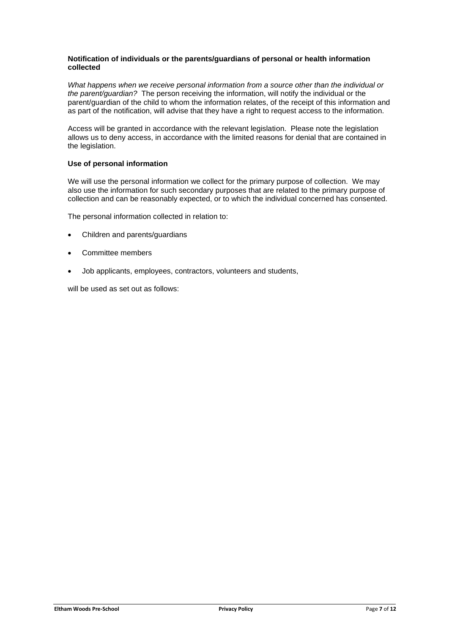#### **Notification of individuals or the parents/guardians of personal or health information collected**

*What happens when we receive personal information from a source other than the individual or the parent/guardian?* The person receiving the information, will notify the individual or the parent/guardian of the child to whom the information relates, of the receipt of this information and as part of the notification, will advise that they have a right to request access to the information.

Access will be granted in accordance with the relevant legislation. Please note the legislation allows us to deny access, in accordance with the limited reasons for denial that are contained in the legislation.

## **Use of personal information**

We will use the personal information we collect for the primary purpose of collection. We may also use the information for such secondary purposes that are related to the primary purpose of collection and can be reasonably expected, or to which the individual concerned has consented.

The personal information collected in relation to:

- Children and parents/guardians
- Committee members
- Job applicants, employees, contractors, volunteers and students,

will be used as set out as follows: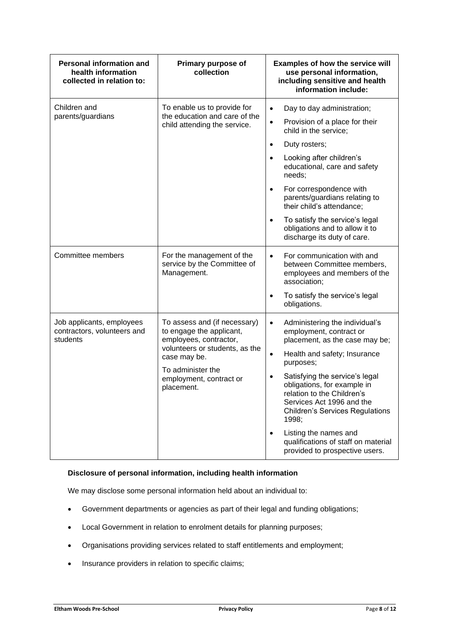| <b>Personal information and</b><br>health information<br>collected in relation to: | Primary purpose of<br>collection                                                                                                                                                                   | <b>Examples of how the service will</b><br>use personal information,<br>including sensitive and health<br>information include:                                                                                                                                                                                                                                                                                                                                   |  |
|------------------------------------------------------------------------------------|----------------------------------------------------------------------------------------------------------------------------------------------------------------------------------------------------|------------------------------------------------------------------------------------------------------------------------------------------------------------------------------------------------------------------------------------------------------------------------------------------------------------------------------------------------------------------------------------------------------------------------------------------------------------------|--|
| Children and<br>parents/guardians                                                  | To enable us to provide for<br>the education and care of the<br>child attending the service.                                                                                                       | Day to day administration;<br>$\bullet$<br>Provision of a place for their<br>$\bullet$<br>child in the service;<br>Duty rosters;<br>$\bullet$<br>Looking after children's<br>$\bullet$<br>educational, care and safety<br>needs;<br>For correspondence with<br>$\bullet$<br>parents/guardians relating to<br>their child's attendance;<br>To satisfy the service's legal<br>$\bullet$<br>obligations and to allow it to<br>discharge its duty of care.           |  |
| Committee members                                                                  | For the management of the<br>service by the Committee of<br>Management.                                                                                                                            | For communication with and<br>$\bullet$<br>between Committee members,<br>employees and members of the<br>association;<br>To satisfy the service's legal<br>$\bullet$<br>obligations.                                                                                                                                                                                                                                                                             |  |
| Job applicants, employees<br>contractors, volunteers and<br>students               | To assess and (if necessary)<br>to engage the applicant,<br>employees, contractor,<br>volunteers or students, as the<br>case may be.<br>To administer the<br>employment, contract or<br>placement. | Administering the individual's<br>$\bullet$<br>employment, contract or<br>placement, as the case may be;<br>Health and safety; Insurance<br>$\bullet$<br>purposes;<br>Satisfying the service's legal<br>$\bullet$<br>obligations, for example in<br>relation to the Children's<br>Services Act 1996 and the<br><b>Children's Services Regulations</b><br>1998;<br>Listing the names and<br>qualifications of staff on material<br>provided to prospective users. |  |

## **Disclosure of personal information, including health information**

We may disclose some personal information held about an individual to:

- Government departments or agencies as part of their legal and funding obligations;
- Local Government in relation to enrolment details for planning purposes;
- Organisations providing services related to staff entitlements and employment;
- Insurance providers in relation to specific claims;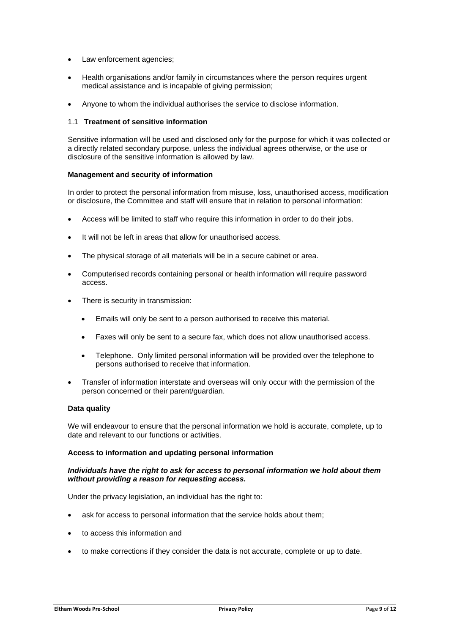- Law enforcement agencies:
- Health organisations and/or family in circumstances where the person requires urgent medical assistance and is incapable of giving permission;
- Anyone to whom the individual authorises the service to disclose information.

#### 1.1 **Treatment of sensitive information**

Sensitive information will be used and disclosed only for the purpose for which it was collected or a directly related secondary purpose, unless the individual agrees otherwise, or the use or disclosure of the sensitive information is allowed by law.

#### **Management and security of information**

In order to protect the personal information from misuse, loss, unauthorised access, modification or disclosure, the Committee and staff will ensure that in relation to personal information:

- Access will be limited to staff who require this information in order to do their jobs.
- It will not be left in areas that allow for unauthorised access.
- The physical storage of all materials will be in a secure cabinet or area.
- Computerised records containing personal or health information will require password access.
- There is security in transmission:
	- Emails will only be sent to a person authorised to receive this material.
	- Faxes will only be sent to a secure fax, which does not allow unauthorised access.
	- Telephone. Only limited personal information will be provided over the telephone to persons authorised to receive that information.
- Transfer of information interstate and overseas will only occur with the permission of the person concerned or their parent/guardian.

## **Data quality**

We will endeavour to ensure that the personal information we hold is accurate, complete, up to date and relevant to our functions or activities.

#### **Access to information and updating personal information**

#### *Individuals have the right to ask for access to personal information we hold about them without providing a reason for requesting access.*

Under the privacy legislation, an individual has the right to:

- ask for access to personal information that the service holds about them;
- to access this information and
- to make corrections if they consider the data is not accurate, complete or up to date.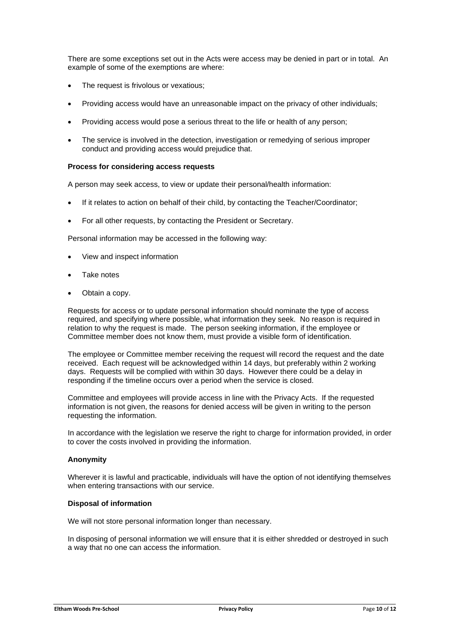There are some exceptions set out in the Acts were access may be denied in part or in total. An example of some of the exemptions are where:

- The request is frivolous or vexatious;
- Providing access would have an unreasonable impact on the privacy of other individuals;
- Providing access would pose a serious threat to the life or health of any person;
- The service is involved in the detection, investigation or remedying of serious improper conduct and providing access would prejudice that.

#### **Process for considering access requests**

A person may seek access, to view or update their personal/health information:

- If it relates to action on behalf of their child, by contacting the Teacher/Coordinator;
- For all other requests, by contacting the President or Secretary.

Personal information may be accessed in the following way:

- View and inspect information
- Take notes
- Obtain a copy.

Requests for access or to update personal information should nominate the type of access required, and specifying where possible, what information they seek. No reason is required in relation to why the request is made. The person seeking information, if the employee or Committee member does not know them, must provide a visible form of identification.

The employee or Committee member receiving the request will record the request and the date received. Each request will be acknowledged within 14 days, but preferably within 2 working days. Requests will be complied with within 30 days. However there could be a delay in responding if the timeline occurs over a period when the service is closed.

Committee and employees will provide access in line with the Privacy Acts. If the requested information is not given, the reasons for denied access will be given in writing to the person requesting the information.

In accordance with the legislation we reserve the right to charge for information provided, in order to cover the costs involved in providing the information.

#### **Anonymity**

Wherever it is lawful and practicable, individuals will have the option of not identifying themselves when entering transactions with our service.

#### **Disposal of information**

We will not store personal information longer than necessary.

In disposing of personal information we will ensure that it is either shredded or destroyed in such a way that no one can access the information.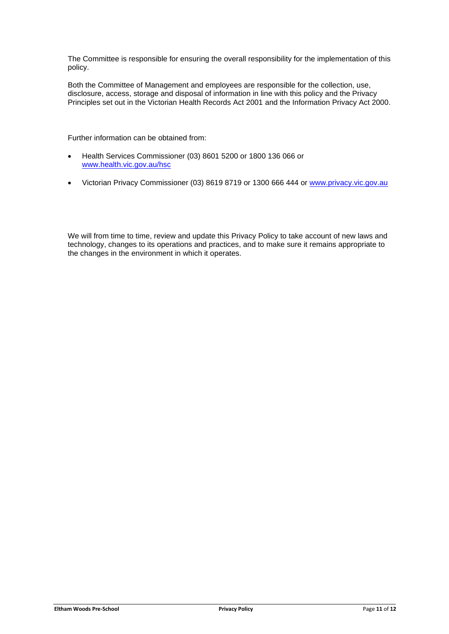The Committee is responsible for ensuring the overall responsibility for the implementation of this policy.

Both the Committee of Management and employees are responsible for the collection, use, disclosure, access, storage and disposal of information in line with this policy and the Privacy Principles set out in the Victorian Health Records Act 2001 and the Information Privacy Act 2000.

Further information can be obtained from:

- Health Services Commissioner (03) 8601 5200 or 1800 136 066 or [www.health.vic.gov.au/hsc](http://www.health.vic.gov.au/hsc)
- Victorian Privacy Commissioner (03) 8619 8719 or 1300 666 444 or [www.privacy.vic.gov.au](http://www.privacy.vic.gov.au/)

We will from time to time, review and update this Privacy Policy to take account of new laws and technology, changes to its operations and practices, and to make sure it remains appropriate to the changes in the environment in which it operates.